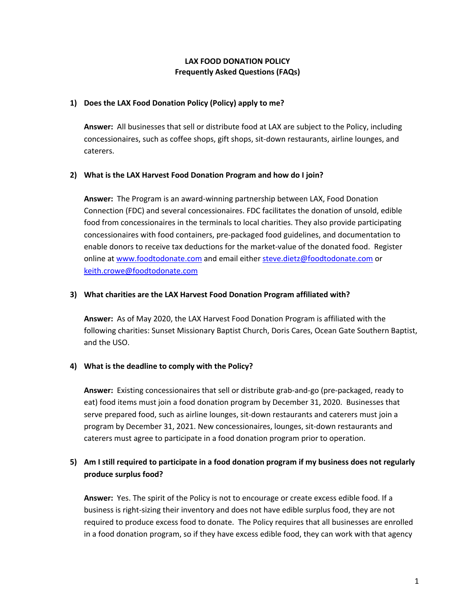# **LAX FOOD DONATION POLICY Frequently Asked Questions (FAQs)**

### **1) Does the LAX Food Donation Policy (Policy) apply to me?**

**Answer:** All businesses that sell or distribute food at LAX are subject to the Policy, including concessionaires, such as coffee shops, gift shops, sit-down restaurants, airline lounges, and caterers.

# **2) What is the LAX Harvest Food Donation Program and how do I join?**

**Answer:** The Program is an award-winning partnership between LAX, Food Donation Connection (FDC) and several concessionaires. FDC facilitates the donation of unsold, edible food from concessionaires in the terminals to local charities. They also provide participating concessionaires with food containers, pre-packaged food guidelines, and documentation to enable donors to receive tax deductions for the market-value of the donated food. Register online at www.foodtodonate.com and email either steve.dietz@foodtodonate.com or keith.crowe@foodtodonate.com

### **3) What charities are the LAX Harvest Food Donation Program affiliated with?**

**Answer:** As of May 2020, the LAX Harvest Food Donation Program is affiliated with the following charities: Sunset Missionary Baptist Church, Doris Cares, Ocean Gate Southern Baptist, and the USO.

# **4) What is the deadline to comply with the Policy?**

**Answer:** Existing concessionaires that sell or distribute grab-and-go (pre-packaged, ready to eat) food items must join a food donation program by December 31, 2020. Businesses that serve prepared food, such as airline lounges, sit-down restaurants and caterers must join a program by December 31, 2021. New concessionaires, lounges, sit-down restaurants and caterers must agree to participate in a food donation program prior to operation.

# **5) Am I still required to participate in a food donation program if my business does not regularly produce surplus food?**

**Answer:** Yes. The spirit of the Policy is not to encourage or create excess edible food. If a business is right-sizing their inventory and does not have edible surplus food, they are not required to produce excess food to donate. The Policy requires that all businesses are enrolled in a food donation program, so if they have excess edible food, they can work with that agency